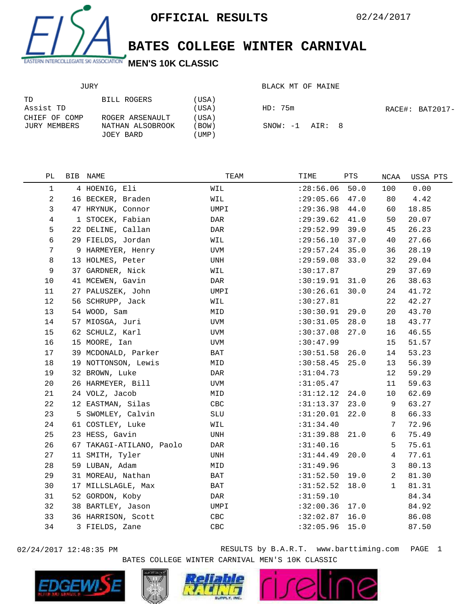

**BATES COLLEGE WINTER CARNIVAL**

BLACK MT OF MAINE

## JURY

| TD<br>Assist TD               | BILL ROGERS                         | (USA)<br>(USA) | HD: 75m             | RACE#: BAT2017- |
|-------------------------------|-------------------------------------|----------------|---------------------|-----------------|
| CHIEF OF COMP<br>JURY MEMBERS | ROGER ARSENAULT<br>NATHAN ALSOBROOK | (USA)<br>(BOW) | $SNOW: -1$ $AIR: 8$ |                 |
|                               | JOEY BARD                           | UMP)           |                     |                 |

| PL             | BIB NAME                 | TEAM       | TIME             | PTS  | NCAA           | USSA PTS |
|----------------|--------------------------|------------|------------------|------|----------------|----------|
| $\mathbf{1}$   | 4 HOENIG, Eli            | WIL        | : 28:56.06       | 50.0 | 100            | 0.00     |
| $\overline{a}$ | 16 BECKER, Braden        | WIL        | : 29:05.66       | 47.0 | 80             | 4.42     |
| 3              | 47 HRYNUK, Connor        | UMPI       | : 29:36.98       | 44.0 | 60             | 18.85    |
| 4              | 1 STOCEK, Fabian         | DAR        | : 29:39.62       | 41.0 | 50             | 20.07    |
| 5              | 22 DELINE, Callan        | DAR        | : 29:52.99       | 39.0 | 45             | 26.23    |
| $\epsilon$     | 29 FIELDS, Jordan        | WIL        | : 29:56.10       | 37.0 | 40             | 27.66    |
| 7              | 9 HARMEYER, Henry        | UVM        | : 29:57.24       | 35.0 | 36             | 28.19    |
| 8              | 13 HOLMES, Peter         | UNH        | : 29:59.08       | 33.0 | 32             | 29.04    |
| 9              | 37 GARDNER, Nick         | WIL        | :30:17.87        |      | 29             | 37.69    |
| 10             | 41 MCEWEN, Gavin         | DAR        | :30:19.91        | 31.0 | 26             | 38.63    |
| 11             | 27 PALUSZEK, John        | UMPI       | :30:26.61        | 30.0 | 24             | 41.72    |
| 12             | 56 SCHRUPP, Jack         | WIL        | :30:27.81        |      | 22             | 42.27    |
| 13             | 54 WOOD, Sam             | MID        | :30:30.91        | 29.0 | 20             | 43.70    |
| 14             | 57 MIOSGA, Juri          | UVM        | :30:31.05        | 28.0 | 18             | 43.77    |
| 15             | 62 SCHULZ, Karl          | UVM        | :30:37.08        | 27.0 | 16             | 46.55    |
| 16             | 15 MOORE, Ian            | <b>UVM</b> | : 30: 47.99      |      | 15             | 51.57    |
| 17             | 39 MCDONALD, Parker      | BAT        | :30:51.58        | 26.0 | 14             | 53.23    |
| 18             | 19 NOTTONSON, Lewis      | MID        | :30:58.45        | 25.0 | 13             | 56.39    |
| 19             | 32 BROWN, Luke           | DAR        | :31:04.73        |      | 12             | 59.29    |
| 20             | 26 HARMEYER, Bill        | UVM        | :31:05.47        |      | 11             | 59.63    |
| 21             | 24 VOLZ, Jacob           | MID        | $:31:12.12$ 24.0 |      | 10             | 62.69    |
| 22             | 12 EASTMAN, Silas        | CBC        | :31:13.37        | 23.0 | 9              | 63.27    |
| 23             | 5 SWOMLEY, Calvin        | SLU        | :31:20.01        | 22.0 | 8              | 66.33    |
| 24             | 61 COSTLEY, Luke         | WIL        | :31:34.40        |      | 7              | 72.96    |
| 25             | 23 HESS, Gavin           | UNH        | :31:39.88        | 21.0 | 6              | 75.49    |
| 26             | 67 TAKAGI-ATILANO, Paolo | DAR        | :31:40.16        |      | 5              | 75.61    |
| 27             | 11 SMITH, Tyler          | UNH        | :31:44.49        | 20.0 | 4              | 77.61    |
| 28             | 59 LUBAN, Adam           | MID        | :31:49.96        |      | 3              | 80.13    |
| 29             | 31 MOREAU, Nathan        | BAT        | :31:52.50        | 19.0 | $\overline{2}$ | 81.30    |
| 30             | 17 MILLSLAGLE, Max       | BAT        | :31:52.52        | 18.0 | $\mathbf{1}$   | 81.31    |
| 31             | 52 GORDON, Koby          | DAR        | :31:59.10        |      |                | 84.34    |
| 32             | 38 BARTLEY, Jason        | UMPI       | :32:00.36        | 17.0 |                | 84.92    |
| 33             | 36 HARRISON, Scott       | CBC        | :32:02.87        | 16.0 |                | 86.08    |
| 34             | 3 FIELDS, Zane           | CBC        | :32:05.96        | 15.0 |                | 87.50    |
|                |                          |            |                  |      |                |          |

02/24/2017 12:48:35 PM RESULTS by B.A.R.T. www.barttiming.com PAGE 1 BATES COLLEGE WINTER CARNIVAL MEN'S 10K CLASSIC